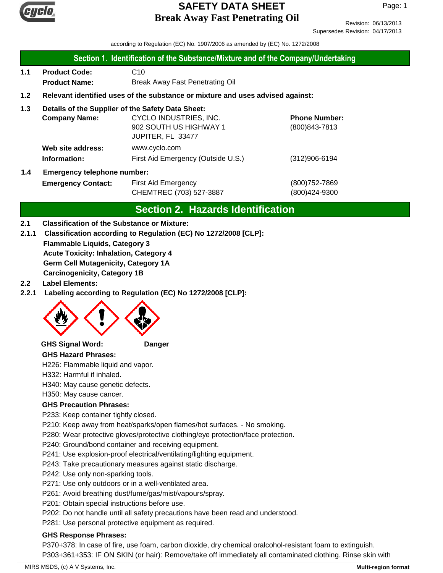

Revision: 06/13/2013 Supersedes Revision: 04/17/2013

according to Regulation (EC) No. 1907/2006 as amended by (EC) No. 1272/2008

- 1.1 Product Code: C10 **Product Name:** Break Away Fast Penetrating Oil
- **1.2 Relevant identified uses of the substance or mixture and uses advised against:**

#### **1.3 Details of the Supplier of the Safety Data Sheet:**

|                                           | <b>Company Name:</b> | CYCLO INDUSTRIES, INC.             | <b>Phone Number:</b> |
|-------------------------------------------|----------------------|------------------------------------|----------------------|
|                                           |                      | 902 SOUTH US HIGHWAY 1             | $(800)843 - 7813$    |
|                                           |                      | JUPITER, FL 33477                  |                      |
|                                           | Web site address:    | www.cyclo.com                      |                      |
|                                           | Information:         | First Aid Emergency (Outside U.S.) | $(312)906 - 6194$    |
| 1.4<br><b>Emergency telephone number:</b> |                      |                                    |                      |

| <b>Emergency Contact:</b> | First Aid Emergency     | (800) 752-7869 |  |
|---------------------------|-------------------------|----------------|--|
|                           | CHEMTREC (703) 527-3887 | (800)424-9300  |  |

# **Section 2. Hazards Identification**

#### **2.1 Classification of the Substance or Mixture:**

**Flammable Liquids, Category 3 Acute Toxicity: Inhalation, Category 4 Germ Cell Mutagenicity, Category 1A 2.1.1 Classification according to Regulation (EC) No 1272/2008 [CLP]:**

**Carcinogenicity, Category 1B**

- **2.2 Label Elements:**
- **2.2.1 Labeling according to Regulation (EC) No 1272/2008 [CLP]:**



**GHS Signal Word: Danger**

**GHS Hazard Phrases:**

H226: Flammable liquid and vapor.

H332: Harmful if inhaled.

H340: May cause genetic defects.

H350: May cause cancer.

#### **GHS Precaution Phrases:**

P233: Keep container tightly closed.

P210: Keep away from heat/sparks/open flames/hot surfaces. - No smoking.

P280: Wear protective gloves/protective clothing/eye protection/face protection.

P240: Ground/bond container and receiving equipment.

P241: Use explosion-proof electrical/ventilating/lighting equipment.

P243: Take precautionary measures against static discharge.

P242: Use only non-sparking tools.

P271: Use only outdoors or in a well-ventilated area.

P261: Avoid breathing dust/fume/gas/mist/vapours/spray.

P201: Obtain special instructions before use.

P202: Do not handle until all safety precautions have been read and understood.

P281: Use personal protective equipment as required.

#### **GHS Response Phrases:**

P370+378: In case of fire, use foam, carbon dioxide, dry chemical oralcohol-resistant foam to extinguish. P303+361+353: IF ON SKIN (or hair): Remove/take off immediately all contaminated clothing. Rinse skin with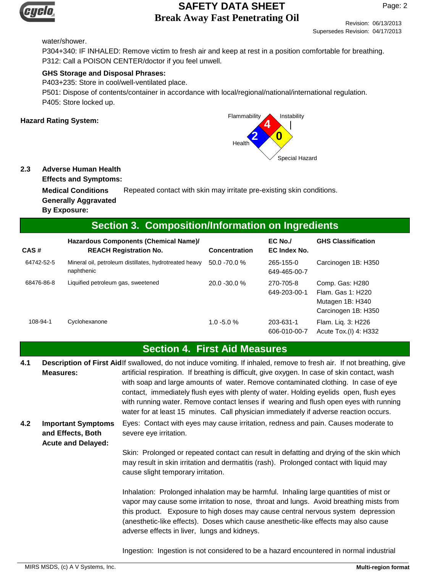

Page: 2

Revision: 06/13/2013 Supersedes Revision: 04/17/2013

#### water/shower.

P304+340: IF INHALED: Remove victim to fresh air and keep at rest in a position comfortable for breathing. P312: Call a POISON CENTER/doctor if you feel unwell.

#### **GHS Storage and Disposal Phrases:**

P403+235: Store in cool/well-ventilated place.

P501: Dispose of contents/container in accordance with local/regional/national/international regulation. P405: Store locked up.



#### **2.3 Adverse Human Health**

**Effects and Symptoms:**

**Medical Conditions** Repeated contact with skin may irritate pre-existing skin conditions. **Generally Aggravated By Exposure:**

#### **Section 3. Composition/Information on Ingredients**

| CAS#       | Hazardous Components (Chemical Name)/<br><b>REACH Registration No.</b> | <b>Concentration</b> | $EC$ No./<br>EC Index No. | <b>GHS Classification</b>                                                       |
|------------|------------------------------------------------------------------------|----------------------|---------------------------|---------------------------------------------------------------------------------|
| 64742-52-5 | Mineral oil, petroleum distillates, hydrotreated heavy<br>naphthenic   | $50.0 - 70.0 %$      | 265-155-0<br>649-465-00-7 | Carcinogen 1B: H350                                                             |
| 68476-86-8 | Liquified petroleum gas, sweetened                                     | 20.0 - 30.0 %        | 270-705-8<br>649-203-00-1 | Comp. Gas: H280<br>Flam, Gas 1: H220<br>Mutagen 1B: H340<br>Carcinogen 1B: H350 |
| 108-94-1   | Cyclohexanone                                                          | $1.0 - 5.0 %$        | 203-631-1<br>606-010-00-7 | Flam. Lig. 3: H226<br>Acute Tox.(I) 4: H332                                     |

#### **Section 4. First Aid Measures**

**4.2** Description of First Aidlf swallowed, do not induce vomiting. If inhaled, remove to fresh air. If not breathing, give artificial respiration. If breathing is difficult, give oxygen. In case of skin contact, wash with soap and large amounts of water. Remove contaminated clothing. In case of eye contact, immediately flush eyes with plenty of water. Holding eyelids open, flush eyes with running water. Remove contact lenses if wearing and flush open eyes with running water for at least 15 minutes. Call physician immediately if adverse reaction occurs. **Measures:** Eyes: Contact with eyes may cause irritation, redness and pain. Causes moderate to severe eye irritation. **Important Symptoms and Effects, Both Acute and Delayed: 4.1**

> Skin: Prolonged or repeated contact can result in defatting and drying of the skin which may result in skin irritation and dermatitis (rash). Prolonged contact with liquid may cause slight temporary irritation.

> Inhalation: Prolonged inhalation may be harmful. Inhaling large quantities of mist or vapor may cause some irritation to nose, throat and lungs. Avoid breathing mists from this product. Exposure to high doses may cause central nervous system depression (anesthetic-like effects). Doses which cause anesthetic-like effects may also cause adverse effects in liver, lungs and kidneys.

Ingestion: Ingestion is not considered to be a hazard encountered in normal industrial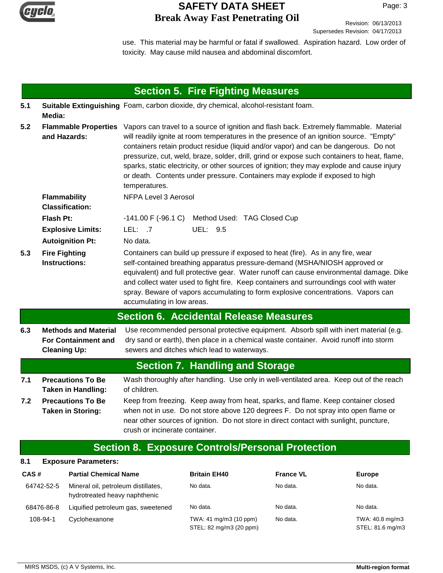

Revision: 06/13/2013 Supersedes Revision: 04/17/2013

use. This material may be harmful or fatal if swallowed. Aspiration hazard. Low order of toxicity. May cause mild nausea and abdominal discomfort.

|      |                                                                                                                                                                                                                                                                                                                                                              |                                                                      |                                       | <b>Section 5. Fire Fighting Measures</b>                                                                                                                                                                                                                                                                                                                                                                                                                                                                                                                  |                  |                                     |
|------|--------------------------------------------------------------------------------------------------------------------------------------------------------------------------------------------------------------------------------------------------------------------------------------------------------------------------------------------------------------|----------------------------------------------------------------------|---------------------------------------|-----------------------------------------------------------------------------------------------------------------------------------------------------------------------------------------------------------------------------------------------------------------------------------------------------------------------------------------------------------------------------------------------------------------------------------------------------------------------------------------------------------------------------------------------------------|------------------|-------------------------------------|
| 5.1  | Media:                                                                                                                                                                                                                                                                                                                                                       |                                                                      |                                       | Suitable Extinguishing Foam, carbon dioxide, dry chemical, alcohol-resistant foam.                                                                                                                                                                                                                                                                                                                                                                                                                                                                        |                  |                                     |
| 5.2  | and Hazards:                                                                                                                                                                                                                                                                                                                                                 | <b>Flammable Properties</b>                                          | temperatures.                         | Vapors can travel to a source of ignition and flash back. Extremely flammable. Material<br>will readily ignite at room temperatures in the presence of an ignition source. "Empty"<br>containers retain product residue (liquid and/or vapor) and can be dangerous. Do not<br>pressurize, cut, weld, braze, solder, drill, grind or expose such containers to heat, flame,<br>sparks, static electricity, or other sources of ignition; they may explode and cause injury<br>or death. Contents under pressure. Containers may explode if exposed to high |                  |                                     |
|      | <b>Flammability</b><br><b>Classification:</b>                                                                                                                                                                                                                                                                                                                |                                                                      | <b>NFPA Level 3 Aerosol</b>           |                                                                                                                                                                                                                                                                                                                                                                                                                                                                                                                                                           |                  |                                     |
|      | <b>Flash Pt:</b>                                                                                                                                                                                                                                                                                                                                             |                                                                      | $-141.00 \text{ F} (-96.1 \text{ C})$ | Method Used: TAG Closed Cup                                                                                                                                                                                                                                                                                                                                                                                                                                                                                                                               |                  |                                     |
|      |                                                                                                                                                                                                                                                                                                                                                              | <b>Explosive Limits:</b>                                             | LEL: .7                               | UEL: 9.5                                                                                                                                                                                                                                                                                                                                                                                                                                                                                                                                                  |                  |                                     |
|      | <b>Autoignition Pt:</b>                                                                                                                                                                                                                                                                                                                                      |                                                                      | No data.                              |                                                                                                                                                                                                                                                                                                                                                                                                                                                                                                                                                           |                  |                                     |
| 5.3  | <b>Fire Fighting</b><br><b>Instructions:</b>                                                                                                                                                                                                                                                                                                                 |                                                                      | accumulating in low areas.            | Containers can build up pressure if exposed to heat (fire). As in any fire, wear<br>self-contained breathing apparatus pressure-demand (MSHA/NIOSH approved or<br>equivalent) and full protective gear. Water runoff can cause environmental damage. Dike<br>and collect water used to fight fire. Keep containers and surroundings cool with water<br>spray. Beware of vapors accumulating to form explosive concentrations. Vapors can                                                                                                                  |                  |                                     |
|      |                                                                                                                                                                                                                                                                                                                                                              |                                                                      |                                       | <b>Section 6. Accidental Release Measures</b>                                                                                                                                                                                                                                                                                                                                                                                                                                                                                                             |                  |                                     |
| 6.3  | <b>Cleaning Up:</b>                                                                                                                                                                                                                                                                                                                                          | <b>Methods and Material</b><br><b>For Containment and</b>            |                                       | Use recommended personal protective equipment. Absorb spill with inert material (e.g.<br>dry sand or earth), then place in a chemical waste container. Avoid runoff into storm<br>sewers and ditches which lead to waterways.                                                                                                                                                                                                                                                                                                                             |                  |                                     |
|      |                                                                                                                                                                                                                                                                                                                                                              |                                                                      |                                       | <b>Section 7. Handling and Storage</b>                                                                                                                                                                                                                                                                                                                                                                                                                                                                                                                    |                  |                                     |
| 7.1  |                                                                                                                                                                                                                                                                                                                                                              | <b>Precautions To Be</b><br><b>Taken in Handling:</b>                | of children.                          | Wash thoroughly after handling. Use only in well-ventilated area. Keep out of the reach                                                                                                                                                                                                                                                                                                                                                                                                                                                                   |                  |                                     |
| 7.2  | <b>Precautions To Be</b><br>Keep from freezing. Keep away from heat, sparks, and flame. Keep container closed<br>when not in use. Do not store above 120 degrees F. Do not spray into open flame or<br><b>Taken in Storing:</b><br>near other sources of ignition. Do not store in direct contact with sunlight, puncture,<br>crush or incinerate container. |                                                                      |                                       |                                                                                                                                                                                                                                                                                                                                                                                                                                                                                                                                                           |                  |                                     |
|      |                                                                                                                                                                                                                                                                                                                                                              |                                                                      |                                       | <b>Section 8. Exposure Controls/Personal Protection</b>                                                                                                                                                                                                                                                                                                                                                                                                                                                                                                   |                  |                                     |
| 8.1  |                                                                                                                                                                                                                                                                                                                                                              | <b>Exposure Parameters:</b>                                          |                                       |                                                                                                                                                                                                                                                                                                                                                                                                                                                                                                                                                           |                  |                                     |
| CAS# |                                                                                                                                                                                                                                                                                                                                                              | <b>Partial Chemical Name</b>                                         |                                       | <b>Britain EH40</b>                                                                                                                                                                                                                                                                                                                                                                                                                                                                                                                                       | <b>France VL</b> | <b>Europe</b>                       |
|      | 64742-52-5                                                                                                                                                                                                                                                                                                                                                   | Mineral oil, petroleum distillates,<br>hydrotreated heavy naphthenic |                                       | No data.                                                                                                                                                                                                                                                                                                                                                                                                                                                                                                                                                  | No data.         | No data.                            |
|      | 68476-86-8                                                                                                                                                                                                                                                                                                                                                   |                                                                      | Liquified petroleum gas, sweetened    | No data.                                                                                                                                                                                                                                                                                                                                                                                                                                                                                                                                                  | No data.         | No data.                            |
|      | 108-94-1                                                                                                                                                                                                                                                                                                                                                     | Cyclohexanone                                                        |                                       | TWA: 41 mg/m3 (10 ppm)<br>STEL: 82 mg/m3 (20 ppm)                                                                                                                                                                                                                                                                                                                                                                                                                                                                                                         | No data.         | TWA: 40.8 mg/m3<br>STEL: 81.6 mg/m3 |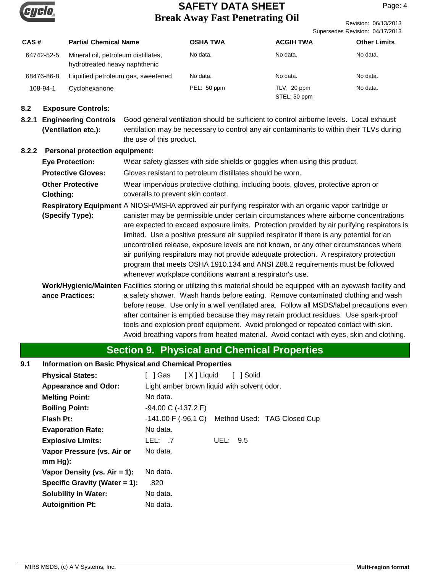

Revision: 06/13/2013 Supersedes Revision: 04/17/2013

| CAS#       | <b>Partial Chemical Name</b>                                         | <b>OSHA TWA</b> | <b>ACGIH TWA</b> | <b>Other Limits</b> |
|------------|----------------------------------------------------------------------|-----------------|------------------|---------------------|
| 64742-52-5 | Mineral oil, petroleum distillates,<br>hydrotreated heavy naphthenic | No data.        | No data.         | No data.            |
| 68476-86-8 | Liquified petroleum gas, sweetened                                   | No data.        | No data.         | No data.            |
| 108-94-1   | Cyclohexanone                                                        | PEL: 50 ppm     | TLV: 20 ppm      | No data.            |
|            |                                                                      |                 | STEL: 50 ppm     |                     |

#### **8.2 Exposure Controls:**

**8.2.1 Engineering Controls** Good general ventilation should be sufficient to control airborne levels. Local exhaust ventilation may be necessary to control any air contaminants to within their TLVs during the use of this product. **(Ventilation etc.):**

#### **8.2.2 Personal protection equipment:**

| <b>Eye Protection:</b>               | Wear safety glasses with side shields or goggles when using this product.                                                                                                                                                                                                                                                                                                                                                                                                                                                                                                                                                                                                                                                      |
|--------------------------------------|--------------------------------------------------------------------------------------------------------------------------------------------------------------------------------------------------------------------------------------------------------------------------------------------------------------------------------------------------------------------------------------------------------------------------------------------------------------------------------------------------------------------------------------------------------------------------------------------------------------------------------------------------------------------------------------------------------------------------------|
| <b>Protective Gloves:</b>            | Gloves resistant to petroleum distillates should be worn.                                                                                                                                                                                                                                                                                                                                                                                                                                                                                                                                                                                                                                                                      |
| <b>Other Protective</b><br>Clothing: | Wear impervious protective clothing, including boots, gloves, protective apron or<br>coveralls to prevent skin contact.                                                                                                                                                                                                                                                                                                                                                                                                                                                                                                                                                                                                        |
| (Specify Type):                      | Respiratory Equipment A NIOSH/MSHA approved air purifying respirator with an organic vapor cartridge or<br>canister may be permissible under certain circumstances where airborne concentrations<br>are expected to exceed exposure limits. Protection provided by air purifying respirators is<br>limited. Use a positive pressure air supplied respirator if there is any potential for an<br>uncontrolled release, exposure levels are not known, or any other circumstances where<br>air purifying respirators may not provide adequate protection. A respiratory protection<br>program that meets OSHA 1910.134 and ANSI Z88.2 requirements must be followed<br>whenever workplace conditions warrant a respirator's use. |
| ance Practices:                      | Work/Hygienic/Mainten Facilities storing or utilizing this material should be equipped with an eyewash facility and<br>a safety shower. Wash hands before eating. Remove contaminated clothing and wash<br>before reuse. Use only in a well ventilated area. Follow all MSDS/label precautions even<br>after container is emptied because they may retain product residues. Use spark-proof<br>tools and explosion proof equipment. Avoid prolonged or repeated contact with skin.<br>Avoid breathing vapors from heated material. Avoid contact with eyes, skin and clothing.                                                                                                                                                 |

# **Section 9. Physical and Chemical Properties**

#### **9.1 Information on Basic Physical and Chemical Properties**

| <b>Physical States:</b>          | [ 1Gas                                    | [X] Liquid<br>[ ] Solid                     |
|----------------------------------|-------------------------------------------|---------------------------------------------|
| <b>Appearance and Odor:</b>      |                                           | Light amber brown liquid with solvent odor. |
| <b>Melting Point:</b>            | No data.                                  |                                             |
| <b>Boiling Point:</b>            | $-94.00 \text{ C}$ ( $-137.2 \text{ F}$ ) |                                             |
| <b>Flash Pt:</b>                 | -141.00 F (-96.1 C)                       | Method Used: TAG Closed Cup                 |
| <b>Evaporation Rate:</b>         | No data.                                  |                                             |
| <b>Explosive Limits:</b>         | LEL: .7                                   | UEL:<br>- 9.5                               |
| Vapor Pressure (vs. Air or       | No data.                                  |                                             |
| $mm Hg$ :                        |                                           |                                             |
| Vapor Density (vs. $Air = 1$ ):  | No data.                                  |                                             |
| Specific Gravity (Water $= 1$ ): | .820                                      |                                             |
| <b>Solubility in Water:</b>      | No data.                                  |                                             |
| <b>Autoignition Pt:</b>          | No data.                                  |                                             |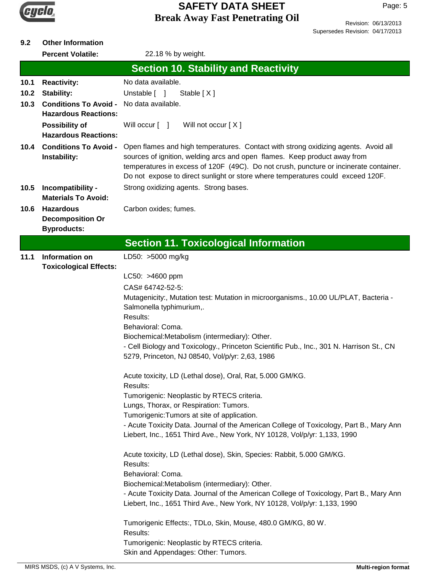

# **9.2 Other Information**

Percent Volatile: 22.18 % by weight.

|      |                                                             | <b>Section 10. Stability and Reactivity</b>                                                                                                                                                                                                                                                                                                 |
|------|-------------------------------------------------------------|---------------------------------------------------------------------------------------------------------------------------------------------------------------------------------------------------------------------------------------------------------------------------------------------------------------------------------------------|
| 10.1 | <b>Reactivity:</b>                                          | No data available.                                                                                                                                                                                                                                                                                                                          |
| 10.2 | <b>Stability:</b>                                           | Unstable [ ]<br>Stable [X]                                                                                                                                                                                                                                                                                                                  |
| 10.3 | <b>Conditions To Avoid -</b><br><b>Hazardous Reactions:</b> | No data available.                                                                                                                                                                                                                                                                                                                          |
|      | <b>Possibility of</b><br><b>Hazardous Reactions:</b>        | Will occur [ ]<br>Will not occur [X]                                                                                                                                                                                                                                                                                                        |
| 10.4 | <b>Conditions To Avoid -</b><br>Instability:                | Open flames and high temperatures. Contact with strong oxidizing agents. Avoid all<br>sources of ignition, welding arcs and open flames. Keep product away from<br>temperatures in excess of 120F (49C). Do not crush, puncture or incinerate container.<br>Do not expose to direct sunlight or store where temperatures could exceed 120F. |
| 10.5 | Incompatibility -<br><b>Materials To Avoid:</b>             | Strong oxidizing agents. Strong bases.                                                                                                                                                                                                                                                                                                      |
| 10.6 | <b>Hazardous</b>                                            | Carbon oxides; fumes.                                                                                                                                                                                                                                                                                                                       |
|      | <b>Decomposition Or</b>                                     |                                                                                                                                                                                                                                                                                                                                             |
|      | <b>Byproducts:</b>                                          |                                                                                                                                                                                                                                                                                                                                             |
|      |                                                             | <b>Section 11. Toxicological Information</b>                                                                                                                                                                                                                                                                                                |
| 11.1 | Information on                                              | LD50: >5000 mg/kg                                                                                                                                                                                                                                                                                                                           |
|      | <b>Toxicological Effects:</b>                               |                                                                                                                                                                                                                                                                                                                                             |
|      |                                                             | LC50: >4600 ppm                                                                                                                                                                                                                                                                                                                             |
|      |                                                             | CAS# 64742-52-5:                                                                                                                                                                                                                                                                                                                            |
|      |                                                             | Mutagenicity:, Mutation test: Mutation in microorganisms., 10.00 UL/PLAT, Bacteria -<br>Salmonella typhimurium,.                                                                                                                                                                                                                            |
|      |                                                             | Results:                                                                                                                                                                                                                                                                                                                                    |
|      |                                                             | Behavioral: Coma.                                                                                                                                                                                                                                                                                                                           |
|      |                                                             | Biochemical:Metabolism (intermediary): Other.                                                                                                                                                                                                                                                                                               |
|      |                                                             | - Cell Biology and Toxicology., Princeton Scientific Pub., Inc., 301 N. Harrison St., CN                                                                                                                                                                                                                                                    |
|      |                                                             | 5279, Princeton, NJ 08540, Vol/p/yr: 2,63, 1986                                                                                                                                                                                                                                                                                             |
|      |                                                             | Acute toxicity, LD (Lethal dose), Oral, Rat, 5.000 GM/KG.<br>Results:                                                                                                                                                                                                                                                                       |
|      |                                                             | Tumorigenic: Neoplastic by RTECS criteria.                                                                                                                                                                                                                                                                                                  |
|      |                                                             | Lungs, Thorax, or Respiration: Tumors.                                                                                                                                                                                                                                                                                                      |
|      |                                                             | Tumorigenic: Tumors at site of application.                                                                                                                                                                                                                                                                                                 |
|      |                                                             | - Acute Toxicity Data. Journal of the American College of Toxicology, Part B., Mary Ann                                                                                                                                                                                                                                                     |
|      |                                                             | Liebert, Inc., 1651 Third Ave., New York, NY 10128, Vol/p/yr: 1,133, 1990                                                                                                                                                                                                                                                                   |
|      |                                                             | Acute toxicity, LD (Lethal dose), Skin, Species: Rabbit, 5.000 GM/KG.<br>Results:                                                                                                                                                                                                                                                           |
|      |                                                             | Behavioral: Coma.                                                                                                                                                                                                                                                                                                                           |
|      |                                                             | Biochemical:Metabolism (intermediary): Other.                                                                                                                                                                                                                                                                                               |
|      |                                                             | - Acute Toxicity Data. Journal of the American College of Toxicology, Part B., Mary Ann                                                                                                                                                                                                                                                     |
|      |                                                             | Liebert, Inc., 1651 Third Ave., New York, NY 10128, Vol/p/yr: 1,133, 1990                                                                                                                                                                                                                                                                   |
|      |                                                             | Tumorigenic Effects:, TDLo, Skin, Mouse, 480.0 GM/KG, 80 W.<br>Results:                                                                                                                                                                                                                                                                     |
|      |                                                             | Tumorigenic: Neoplastic by RTECS criteria.                                                                                                                                                                                                                                                                                                  |
|      |                                                             | Skin and Appendages: Other: Tumors.                                                                                                                                                                                                                                                                                                         |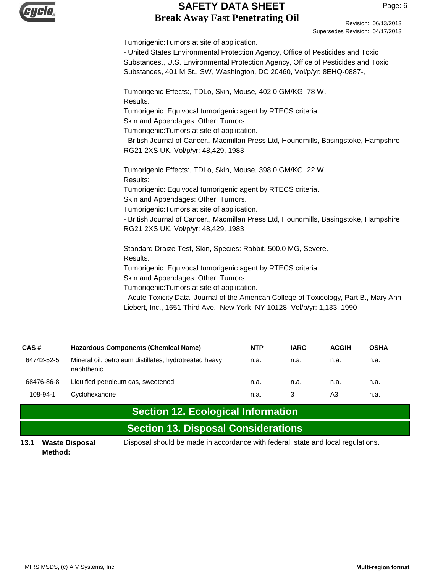

Revision: 06/13/2013 Supersedes Revision: 04/17/2013

Tumorigenic:Tumors at site of application.

- United States Environmental Protection Agency, Office of Pesticides and Toxic Substances., U.S. Environmental Protection Agency, Office of Pesticides and Toxic Substances, 401 M St., SW, Washington, DC 20460, Vol/p/yr: 8EHQ-0887-,

Tumorigenic Effects:, TDLo, Skin, Mouse, 402.0 GM/KG, 78 W. Results: Tumorigenic: Equivocal tumorigenic agent by RTECS criteria. Skin and Appendages: Other: Tumors. Tumorigenic:Tumors at site of application. - British Journal of Cancer., Macmillan Press Ltd, Houndmills, Basingstoke, Hampshire RG21 2XS UK, Vol/p/yr: 48,429, 1983 Tumorigenic Effects:, TDLo, Skin, Mouse, 398.0 GM/KG, 22 W. Results: Tumorigenic: Equivocal tumorigenic agent by RTECS criteria. Skin and Appendages: Other: Tumors. Tumorigenic:Tumors at site of application. - British Journal of Cancer., Macmillan Press Ltd, Houndmills, Basingstoke, Hampshire RG21 2XS UK, Vol/p/yr: 48,429, 1983

Standard Draize Test, Skin, Species: Rabbit, 500.0 MG, Severe. Results:

Tumorigenic: Equivocal tumorigenic agent by RTECS criteria.

Skin and Appendages: Other: Tumors.

Tumorigenic:Tumors at site of application.

- Acute Toxicity Data. Journal of the American College of Toxicology, Part B., Mary Ann Liebert, Inc., 1651 Third Ave., New York, NY 10128, Vol/p/yr: 1,133, 1990

| CAS#       | <b>Hazardous Components (Chemical Name)</b>                          | <b>NTP</b> | <b>IARC</b> | <b>ACGIH</b> | <b>OSHA</b> |
|------------|----------------------------------------------------------------------|------------|-------------|--------------|-------------|
| 64742-52-5 | Mineral oil, petroleum distillates, hydrotreated heavy<br>naphthenic | n.a.       | n.a.        | n.a.         | n.a.        |
| 68476-86-8 | Liquified petroleum gas, sweetened                                   | n.a.       | n.a.        | n.a.         | n.a.        |
| 108-94-1   | Cyclohexanone                                                        | n.a.       |             | A3           | n.a.        |

**Section 12. Ecological Information**

# **Section 13. Disposal Considerations**

**Method:**

**13.1 Waste Disposal** Disposal should be made in accordance with federal, state and local regulations.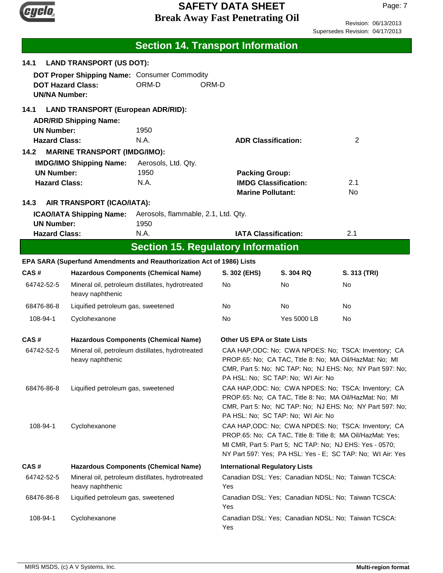

Revision: 06/13/2013 Supersedes Revision: 04/17/2013

|                                           |                                                                                                                                                                                                                                                                                            | <b>Section 14. Transport Information</b>                              |                                       |                             |                                                     |
|-------------------------------------------|--------------------------------------------------------------------------------------------------------------------------------------------------------------------------------------------------------------------------------------------------------------------------------------------|-----------------------------------------------------------------------|---------------------------------------|-----------------------------|-----------------------------------------------------|
| 14.1                                      | <b>LAND TRANSPORT (US DOT):</b>                                                                                                                                                                                                                                                            |                                                                       |                                       |                             |                                                     |
|                                           |                                                                                                                                                                                                                                                                                            | DOT Proper Shipping Name: Consumer Commodity                          |                                       |                             |                                                     |
| <b>UN/NA Number:</b>                      | <b>DOT Hazard Class:</b>                                                                                                                                                                                                                                                                   | ORM-D                                                                 | ORM-D                                 |                             |                                                     |
| 14.1                                      | <b>LAND TRANSPORT (European ADR/RID):</b>                                                                                                                                                                                                                                                  |                                                                       |                                       |                             |                                                     |
|                                           | <b>ADR/RID Shipping Name:</b>                                                                                                                                                                                                                                                              |                                                                       |                                       |                             |                                                     |
| <b>UN Number:</b><br><b>Hazard Class:</b> |                                                                                                                                                                                                                                                                                            | 1950<br>N.A.                                                          |                                       |                             | 2                                                   |
| 14.2                                      | <b>MARINE TRANSPORT (IMDG/IMO):</b>                                                                                                                                                                                                                                                        |                                                                       | <b>ADR Classification:</b>            |                             |                                                     |
|                                           | <b>IMDG/IMO Shipping Name:</b>                                                                                                                                                                                                                                                             | Aerosols, Ltd. Qty.                                                   |                                       |                             |                                                     |
| <b>UN Number:</b>                         |                                                                                                                                                                                                                                                                                            | 1950                                                                  | <b>Packing Group:</b>                 |                             |                                                     |
| <b>Hazard Class:</b>                      |                                                                                                                                                                                                                                                                                            | N.A.                                                                  |                                       | <b>IMDG Classification:</b> | 2.1                                                 |
|                                           |                                                                                                                                                                                                                                                                                            |                                                                       | <b>Marine Pollutant:</b>              |                             | No                                                  |
| 14.3                                      | AIR TRANSPORT (ICAO/IATA):                                                                                                                                                                                                                                                                 |                                                                       |                                       |                             |                                                     |
| <b>UN Number:</b>                         | <b>ICAO/IATA Shipping Name:</b>                                                                                                                                                                                                                                                            | Aerosols, flammable, 2.1, Ltd. Qty.<br>1950                           |                                       |                             |                                                     |
| <b>Hazard Class:</b>                      |                                                                                                                                                                                                                                                                                            | N.A.                                                                  | <b>IATA Classification:</b>           |                             | 2.1                                                 |
|                                           |                                                                                                                                                                                                                                                                                            | <b>Section 15. Regulatory Information</b>                             |                                       |                             |                                                     |
|                                           |                                                                                                                                                                                                                                                                                            | EPA SARA (Superfund Amendments and Reauthorization Act of 1986) Lists |                                       |                             |                                                     |
| CAS#                                      |                                                                                                                                                                                                                                                                                            | <b>Hazardous Components (Chemical Name)</b>                           | S. 302 (EHS)                          | S. 304 RQ                   | S. 313 (TRI)                                        |
| 64742-52-5                                | heavy naphthenic                                                                                                                                                                                                                                                                           | Mineral oil, petroleum distillates, hydrotreated                      | No                                    | No                          | No                                                  |
| 68476-86-8                                | Liquified petroleum gas, sweetened                                                                                                                                                                                                                                                         |                                                                       | No.                                   | No.                         | No                                                  |
| 108-94-1                                  | Cyclohexanone                                                                                                                                                                                                                                                                              |                                                                       | No                                    | <b>Yes 5000 LB</b>          | No                                                  |
| CAS#                                      |                                                                                                                                                                                                                                                                                            | <b>Hazardous Components (Chemical Name)</b>                           | Other US EPA or State Lists           |                             |                                                     |
| 64742-52-5                                | Mineral oil, petroleum distillates, hydrotreated<br>CAA HAP, ODC: No; CWA NPDES: No; TSCA: Inventory; CA<br>PROP.65: No; CA TAC, Title 8: No; MA Oil/HazMat: No; MI<br>heavy naphthenic<br>CMR, Part 5: No; NC TAP: No; NJ EHS: No; NY Part 597: No;<br>PA HSL: No; SC TAP: No; WI Air: No |                                                                       |                                       |                             |                                                     |
| 68476-86-8                                | CAA HAP, ODC: No; CWA NPDES: No; TSCA: Inventory; CA<br>Liquified petroleum gas, sweetened<br>PROP.65: No; CA TAC, Title 8: No; MA Oil/HazMat: No; MI<br>CMR, Part 5: No; NC TAP: No; NJ EHS: No; NY Part 597: No;<br>PA HSL: No; SC TAP: No; WI Air: No                                   |                                                                       |                                       |                             |                                                     |
| 108-94-1                                  | CAA HAP, ODC: No; CWA NPDES: No; TSCA: Inventory; CA<br>Cyclohexanone<br>PROP.65: No; CA TAC, Title 8: Title 8; MA Oil/HazMat: Yes;<br>MI CMR, Part 5: Part 5; NC TAP: No; NJ EHS: Yes - 0570;<br>NY Part 597: Yes; PA HSL: Yes - E; SC TAP: No; WI Air: Yes                               |                                                                       |                                       |                             |                                                     |
| CAS#                                      |                                                                                                                                                                                                                                                                                            | <b>Hazardous Components (Chemical Name)</b>                           | <b>International Regulatory Lists</b> |                             |                                                     |
| 64742-52-5                                | heavy naphthenic                                                                                                                                                                                                                                                                           | Mineral oil, petroleum distillates, hydrotreated                      | Yes                                   |                             | Canadian DSL: Yes; Canadian NDSL: No; Taiwan TCSCA: |
| 68476-86-8                                | Liquified petroleum gas, sweetened                                                                                                                                                                                                                                                         |                                                                       | Yes                                   |                             | Canadian DSL: Yes; Canadian NDSL: No; Taiwan TCSCA: |
| 108-94-1                                  | Cyclohexanone                                                                                                                                                                                                                                                                              |                                                                       | Yes                                   |                             | Canadian DSL: Yes; Canadian NDSL: No; Taiwan TCSCA: |